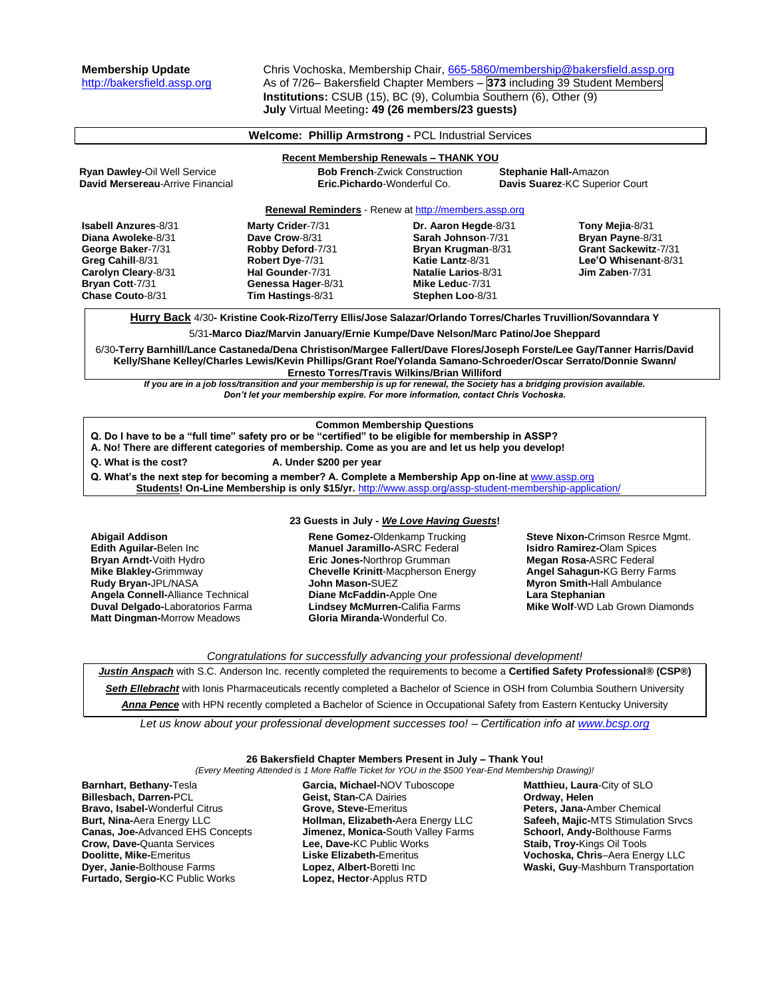**Membership Update** Chris Vochoska, Membership Chair, [665-5860/membership@bakersfield.assp.org](mailto:665-5860/membership@bakersfield.assp.org) [http://bakersfield.assp.org](http://bakersfield.assp.org/) As of 7/26– Bakersfield Chapter Members – **373** including 39 Student Members **Institutions:** CSUB (15), BC (9), Columbia Southern (6), Other (9) **July** Virtual Meeting**: 49 (26 members/23 guests)**

> **Dr. Aaron Hegde**-8/31 **Sarah Johnson**-7/31 **Bryan Krugman**-8/31 **Katie Lantz**-8/31 **Natalie Larios**-8/31 **Mike Leduc**-7/31 **Stephen Loo**-8/31

## **Welcome: Phillip Armstrong -** PCL Industrial Services

# **Recent Membership Renewals – THANK YOU**

**Ryan Dawley-**Oil Well Service **Bob French**-Zwick Construction **Stephanie Hall-**Amazon **David Mersereau**-Arrive Financial **Eric.Pichardo**-Wonderful Co. **Davis Suarez**-KC Superior Court

### **Renewal Reminders** - Renew a[t http://members.assp.org](http://members.assp.org/)

**Isabell Anzures**-8/31 **Diana Awoleke**-8/31 **George Baker**-7/31 **Greg Cahill**-8/31 **Carolyn Cleary**-8/31 **Bryan Cott**-7/31 **Chase Couto**-8/31

**Hurry Back** 4/30**- Kristine Cook-Rizo/Terry Ellis/Jose Salazar/Orlando Torres/Charles Truvillion/Sovanndara Y**

5/31**-Marco Diaz/Marvin January/Ernie Kumpe/Dave Nelson/Marc Patino/Joe Sheppard**

6/30**-Terry Barnhill/Lance Castaneda/Dena Christison/Margee Fallert/Dave Flores/Joseph Forste/Lee Gay/Tanner Harris/David Kelly/Shane Kelley/Charles Lewis/Kevin Phillips/Grant Roe/Yolanda Samano-Schroeder/Oscar Serrato/Donnie Swann/ Ernesto Torres/Travis Wilkins/Brian Williford**

*If you are in a job loss/transition and your membership is up for renewal, the Society has a bridging provision available. Don't let your membership expire. For more information, contact Chris Vochoska.* 

### **Common Membership Questions**

**Q. Do I have to be a "full time" safety pro or be "certified" to be eligible for membership in ASSP?** 

**A. No! There are different categories of membership. Come as you are and let us help you develop!** 

**Q. What is the cost? A. Under \$200 per year**

**Marty Crider**-7/31 **Dave Crow**-8/31 **Robby Deford**-7/31 **Robert Dye**-7/31 **Hal Gounder**-7/31 **Genessa Hager**-8/31 **Tim Hastings**-8/31

Q. What's the next step for becoming a member? A. Complete a Membership App on-line at **[www.assp.org](http://www.assp.org/)** 

**Students! On-Line Membership is only \$15/yr.** <http://www.assp.org/assp-student-membership-application/>

# **23 Guests in July -** *We Love Having Guests***!**

**Abigail Addison Edith Aguilar-**Belen Inc **Bryan Arndt-**Voith Hydro **Mike Blakley-**Grimmway **Rudy Bryan-**JPL/NASA **Angela Connell-**Alliance Technical **Duval Delgado-**Laboratorios Farma **Matt Dingman-**Morrow Meadows

**Rene Gomez-**Oldenkamp Trucking **Manuel Jaramillo-**ASRC Federal **Eric Jones-**Northrop Grumman **Chevelle Krinitt**-Macpherson Energy **John Mason-**SUEZ **Diane McFaddin-**Apple One **Lindsey McMurren-**Califia Farms **Gloria Miranda-**Wonderful Co.

**Steve Nixon-**Crimson Resrce Mgmt. **Isidro Ramirez-**Olam Spices **Megan Rosa-**ASRC Federal **Angel Sahagun-**KG Berry Farms **Myron Smith-**Hall Ambulance **Lara Stephanian Mike Wolf**-WD Lab Grown Diamonds

**Tony Mejia**-8/31 **Bryan Payne**-8/31 **Grant Sackewitz**-7/31 **Lee'O Whisenant**-8/31 **Jim Zaben**-7/31

*Congratulations for successfully advancing your professional development!*

*Justin Anspach* with S.C. Anderson Inc. recently completed the requirements to become a **Certified Safety Professional® (CSP®)**

*Seth Ellebracht* with Ionis Pharmaceuticals recently completed a Bachelor of Science in OSH from Columbia Southern University

*Anna Pence* with HPN recently completed a Bachelor of Science in Occupational Safety from Eastern Kentucky University

*Let us know about your professional development successes too! – Certification info a[t www.bcsp.org](http://www.bcsp.org/)*

#### **26 Bakersfield Chapter Members Present in July – Thank You!** *(Every Meeting Attended is 1 More Raffle Ticket for YOU in the \$500 Year-End Membership Drawing)!*

**Barnhart, Bethany-**Tesla **Billesbach, Darren-**PCL **Bravo, Isabel-**Wonderful Citrus **Burt, Nina-**Aera Energy LLC **Canas, Joe-**Advanced EHS Concepts **Crow, Dave-**Quanta Services **Doolitte, Mike-**Emeritus **Dyer, Janie-**Bolthouse Farms **Furtado, Sergio-**KC Public Works

**Garcia, Michael-**NOV Tuboscope **Geist, Stan-**CA Dairies **Grove, Steve-**Emeritus **Hollman, Elizabeth-**Aera Energy LLC **Jimenez, Monica-**South Valley Farms **Lee, Dave-**KC Public Works **Liske Elizabeth-**Emeritus **Lopez, Albert-**Boretti Inc **Lopez, Hector**-Applus RTD

**Matthieu, Laura**-City of SLO **Ordway, Helen Peters, Jana-**Amber Chemical **Safeeh, Majic-**MTS Stimulation Srvcs **Schoorl, Andy-**Bolthouse Farms **Staib, Troy-**Kings Oil Tools **Vochoska, Chris**–Aera Energy LLC **Waski, Guy**-Mashburn Transportation